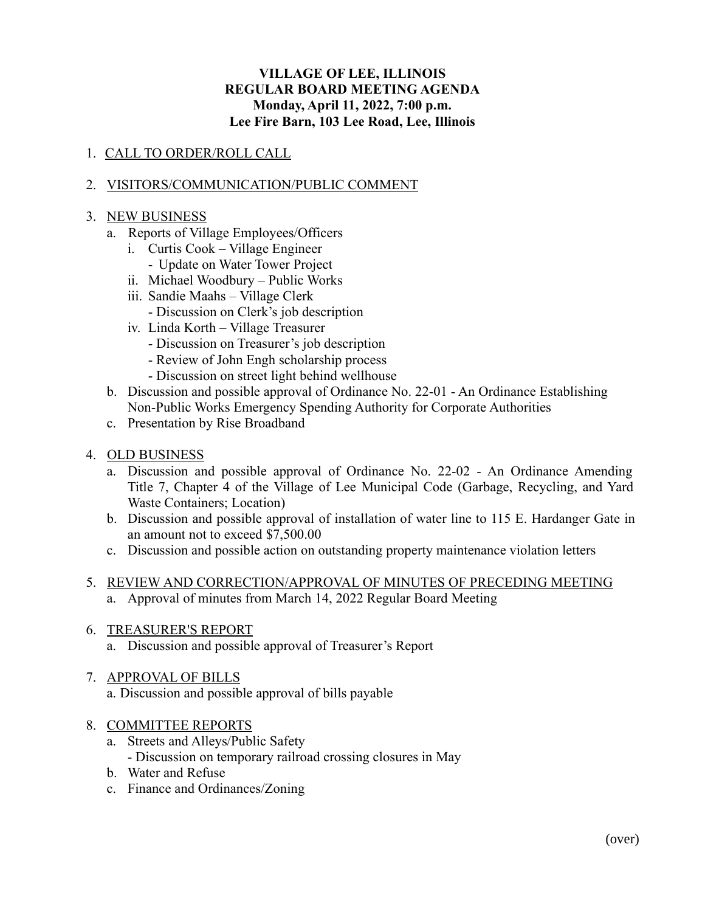# **VILLAGE OF LEE, ILLINOIS REGULAR BOARD MEETING AGENDA Monday, April 11, 2022, 7:00 p.m. Lee Fire Barn, 103 Lee Road, Lee, Illinois**

# 1. CALL TO ORDER/ROLL CALL

# 2. VISITORS/COMMUNICATION/PUBLIC COMMENT

### 3. NEW BUSINESS

- a. Reports of Village Employees/Officers
	- i. Curtis Cook Village Engineer
		- Update on Water Tower Project
	- ii. Michael Woodbury Public Works
	- iii. Sandie Maahs Village Clerk
		- Discussion on Clerk's job description
	- iv. Linda Korth Village Treasurer
		- Discussion on Treasurer's job description
		- Review of John Engh scholarship process
		- Discussion on street light behind wellhouse
- b. Discussion and possible approval of Ordinance No. 22-01 An Ordinance Establishing Non-Public Works Emergency Spending Authority for Corporate Authorities
- c. Presentation by Rise Broadband
- 4. OLD BUSINESS
	- a. Discussion and possible approval of Ordinance No. 22-02 An Ordinance Amending Title 7, Chapter 4 of the Village of Lee Municipal Code (Garbage, Recycling, and Yard Waste Containers; Location)
	- b. Discussion and possible approval of installation of water line to 115 E. Hardanger Gate in an amount not to exceed \$7,500.00
	- c. Discussion and possible action on outstanding property maintenance violation letters
- 5. REVIEW AND CORRECTION/APPROVAL OF MINUTES OF PRECEDING MEETING a. Approval of minutes from March 14, 2022 Regular Board Meeting
- 6. TREASURER'S REPORT
	- a. Discussion and possible approval of Treasurer's Report
- 7. APPROVAL OF BILLS a. Discussion and possible approval of bills payable
- 8. COMMITTEE REPORTS
	- a. Streets and Alleys/Public Safety - Discussion on temporary railroad crossing closures in May
	- b. Water and Refuse
	- c. Finance and Ordinances/Zoning